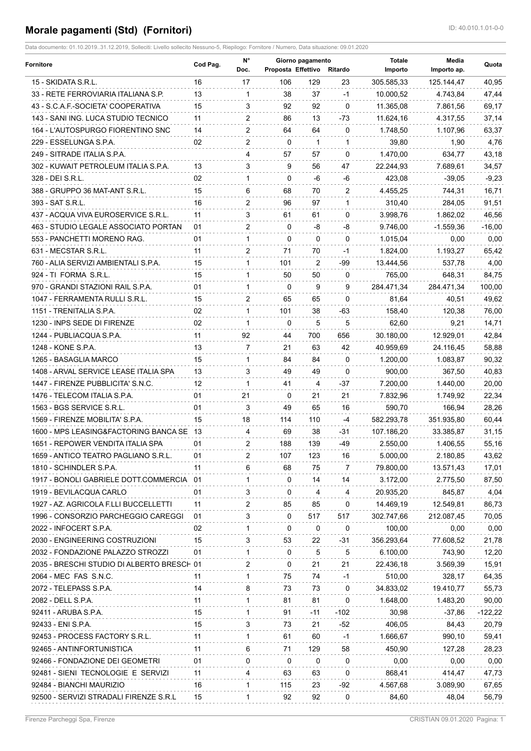## **Morale pagamenti (Std) (Fornitori) ID: 40.010.1.01-0-0**

| <b>Fornitore</b>                           | Cod Pag. | N°<br>Doc.     | Proposta Effettivo Ritardo | Giorno pagamento |              | <b>Totale</b><br>Importo | Media<br>Importo ap. | Quota     |
|--------------------------------------------|----------|----------------|----------------------------|------------------|--------------|--------------------------|----------------------|-----------|
| 15 - SKIDATA S.R.L.                        | 16       | 17             | 106                        | 129              | 23           | 305.585,33               | 125.144,47           | 40,95     |
| 33 - RETE FERROVIARIA ITALIANA S.P.        | 13       | -1             | 38                         | 37               | $-1$         | 10.000,52                | 4.743,84             | 47,44     |
| 43 - S.C.A.F.-SOCIETA' COOPERATIVA         | 15       | 3              | 92                         | 92               | $\Omega$     | 11.365.08                | 7.861,56             | 69,17     |
| 143 - SANI ING. LUCA STUDIO TECNICO        | 11       | $\overline{2}$ | 86                         | 13               | -73          | 11.624,16                | 4.317,55             | 37,14     |
| 164 - L'AUTOSPURGO FIORENTINO SNC          | 14       | 2              | 64                         | 64               | $\mathbf{0}$ | 1.748,50                 | 1.107,96             | 63,37     |
| 229 - ESSELUNGA S.P.A.                     | 02       | 2              | $\Omega$                   | $\mathbf{1}$     | 1            | 39,80                    | 1,90                 | 4,76      |
| 249 - SITRADE ITALIA S.P.A.                |          | 4              | 57                         | 57               | $\Omega$     | 1.470,00                 | 634,77               | 43,18     |
| 302 - KUWAIT PETROLEUM ITALIA S.P.A.       | 13       | 3              | 9                          | 56               | 47           | 22.244,93                | 7.689,61             | 34,57     |
| 328 - DEI S.R.L.                           | 02       | $\mathbf{1}$   | $\Omega$                   | -6               | -6           | 423,08                   | $-39.05$             | $-9,23$   |
| 388 - GRUPPO 36 MAT-ANT S.R.L.             | 15       | 6              | 68                         | 70               | 2            | 4.455,25                 | 744,31               | 16,71     |
| 393 - SAT S.R.L.                           | 16       | 2              | 96                         | 97               | $\mathbf{1}$ | 310,40                   | 284,05               | 91,51     |
| 437 - ACQUA VIVA EUROSERVICE S.R.L.        | 11       | 3              | 61                         | 61               | $\Omega$     | 3.998,76                 | 1.862,02             | 46,56     |
| 463 - STUDIO LEGALE ASSOCIATO PORTAN       | 01       | 2              | $\Omega$                   | -8               | -8           | 9.746,00                 | $-1.559,36$          | $-16,00$  |
| 553 - PANCHETTI MORENO RAG.                | 01       | $\mathbf 1$    | 0                          | 0                | 0            | 1.015,04                 | 0,00                 | 0,00      |
| 631 - MECSTAR S.R.L.                       | 11       | 2              | 71                         | 70               | $-1$         | 1.824,00                 | 1.193,27             | 65,42     |
| 760 - ALIA SERVIZI AMBIENTALI S.P.A.       | 15       | $\mathbf{1}$   | 101                        | 2                | -99          | 13.444,56                | 537.78               | 4,00      |
| 924 - TI FORMA S.R.L.                      | 15       | $\mathbf{1}$   | 50                         | 50               | $\mathbf{0}$ | 765,00                   | 648,31               | 84,75     |
| 970 - GRANDI STAZIONI RAIL S.P.A.          | 01       | $\mathbf 1$    | 0                          | 9                | 9            | 284.471,34               | 284.471,34           | 100,00    |
| 1047 - FERRAMENTA RULLI S.R.L.             | 15       | $\overline{2}$ | 65                         | 65               | $\Omega$     | 81,64                    | 40,51                | 49,62     |
| 1151 - TRENITALIA S.P.A.                   | 02       | $\mathbf{1}$   | 101                        | 38               | -63          | 158,40                   | 120,38               | 76,00     |
| 1230 - INPS SEDE DI FIRENZE                | 02       | $\mathbf{1}$   | $\Omega$                   | 5                | 5            | 62,60                    | 9,21                 | 14,71     |
| 1244 - PUBLIACQUA S.P.A.                   | 11       | 92             | 44                         | 700              | 656          | 30.180,00                | 12.929,01            | 42,84     |
| 1248 - KONE S.P.A.                         | 13       | $7^{\circ}$    | 21                         | 63               | 42           | 40.959,69                | 24.116,45            | 58,88     |
| 1265 - BASAGLIA MARCO                      | 15       | $\mathbf{1}$   | 84                         | 84               | $\Omega$     | 1.200,00                 | 1.083,87             | 90,32     |
| 1408 - ARVAL SERVICE LEASE ITALIA SPA      | 13       | 3              | 49                         | 49               | $\Omega$     | 900,00                   | 367,50               | 40,83     |
| 1447 - FIRENZE PUBBLICITA' S.N.C.          | 12       | $\mathbf{1}$   | 41                         | 4                | -37          | 7.200,00                 | 1.440,00             | 20,00     |
| 1476 - TELECOM ITALIA S.P.A.               | 01       | 21             | $\Omega$                   | 21               | 21           | 7.832,96                 | 1.749,92             | 22,34     |
| 1563 - BGS SERVICE S.R.L.                  | 01       | 3              | 49                         | 65               | 16           | 590,70                   | 166,94               | 28,26     |
| 1569 - FIRENZE MOBILITA' S.P.A.            | 15       | 18             | 114                        | 110              | $-4$         | 582.293,78               | 351.935,80           | 60,44     |
| 1600 - MPS LEASING&FACTORING BANCA SE 13   |          | 4              | 69                         | 38               | -31          | 107.186,20               | 33.385,87            | 31,15     |
| 1651 - REPOWER VENDITA ITALIA SPA          | 01       | 2              | 188                        | 139              | -49          | 2.550,00                 | 1.406,55             | 55,16     |
| 1659 - ANTICO TEATRO PAGLIANO S.R.L.       | 01       | $\overline{2}$ | 107                        | 123              | 16           | 5.000,00                 | 2.180,85             | 43,62     |
| 1810 - SCHINDLER S.P.A.                    | 11       | 6              | 68                         | 75               | 7            | 79.800,00                | 13.571,43            | 17,01     |
| 1917 - BONOLI GABRIELE DOTT.COMMERCIA 01   |          | 1              | 0                          | 14               | 14           | 3.172,00                 | 2.775,50             | 87,50     |
| 1919 - BEVILACQUA CARLO                    | 01       | 3              | 0                          | 4                | 4            | 20.935,20                | 845,87               | 4,04      |
| 1927 - AZ. AGRICOLA F.LLI BUCCELLETTI      | 11       | $\overline{2}$ | 85                         | 85               | 0            | 14.469,19                | 12.549,81            | 86,73     |
| 1996 - CONSORZIO PARCHEGGIO CAREGGI        | 01       | 3              | 0                          | 517              | 517          | 302.747,66               | 212.087,45           | 70,05     |
| 2022 - INFOCERT S.P.A.                     | 02       | $\mathbf{1}$   | 0                          | 0                | 0            | 100,00                   | 0,00                 | 0,00      |
| 2030 - ENGINEERING COSTRUZIONI             | 15       | 3              | 53                         | 22               | -31          | 356.293,64               | 77.608,52            | 21,78     |
| 2032 - FONDAZIONE PALAZZO STROZZI          | 01       | $\mathbf{1}$   | 0                          | 5                | 5            | 6.100.00                 | 743,90               | 12,20     |
| 2035 - BRESCHI STUDIO DI ALBERTO BRESCH 01 |          | 2              | 0                          | 21               | 21           | 22.436,18                | 3.569,39             | 15,91     |
| 2064 - MEC FAS S.N.C.                      | 11       | 1              | 75                         | 74               | -1           | 510,00                   | 328,17               | 64,35     |
| 2072 - TELEPASS S.P.A.                     | 14       | 8              | 73                         | 73               | 0            | 34.833,02                | 19.410,77            | 55,73     |
| 2082 - DELL S.P.A.                         | 11       | $\mathbf{1}$   | 81                         | 81               | 0            | 1.648,00                 | 1.483,20             | 90,00     |
| 92411 - ARUBA S.P.A.                       | 15       | $\mathbf{1}$   | 91                         | -11              | -102         | 30,98                    | $-37,86$             | $-122,22$ |
| 92433 - ENI S.P.A.                         | 15       | 3              | 73                         | 21               | -52          | 406,05                   | 84,43                | 20,79     |
| 92453 - PROCESS FACTORY S.R.L.             | 11       | $\mathbf{1}$   | 61                         | 60               | $-1$         | 1.666,67                 | 990,10               | 59,41     |
| 92465 - ANTINFORTUNISTICA                  | 11       | 6              | 71                         | 129              | 58           | 450,90                   | 127,28               | 28,23     |
| 92466 - FONDAZIONE DEI GEOMETRI            | 01       | 0              | 0                          | 0                | 0            | 0,00                     | 0,00                 | 0,00      |
| 92481 - SIENI TECNOLOGIE E SERVIZI         | 11       | 4              | 63                         | 63               | 0            | 868,41                   | 414,47               | 47,73     |
| 92484 - BIANCHI MAURIZIO                   | 16       | 1              | 115                        | 23               | -92          | 4.567,68                 | 3.089,90             | 67,65     |
| 92500 - SERVIZI STRADALI FIRENZE S.R.L     | 15       | 1              | 92                         | 92               | 0            | 84,60                    | 48,04                | 56,79     |